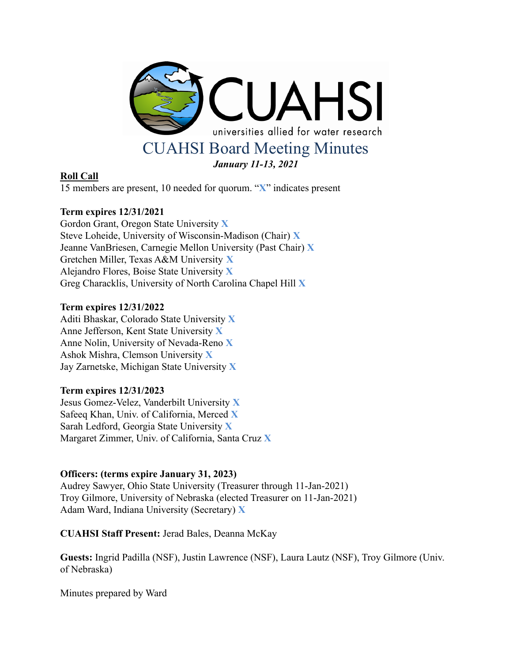

### **Roll Call**

15 members are present, 10 needed for quorum. "**X**" indicates present

## **Term expires 12/31/2021**

Gordon Grant, Oregon State University **X** Steve Loheide, University of Wisconsin-Madison (Chair) **X** Jeanne VanBriesen, Carnegie Mellon University (Past Chair) **X** Gretchen Miller, Texas A&M University **X** Alejandro Flores, Boise State University **X** Greg Characklis, University of North Carolina Chapel Hill **X**

### **Term expires 12/31/2022**

Aditi Bhaskar, Colorado State University **X** Anne Jefferson, Kent State University **X** Anne Nolin, University of Nevada-Reno **X** Ashok Mishra, Clemson University **X** Jay Zarnetske, Michigan State University **X**

### **Term expires 12/31/2023**

Jesus Gomez-Velez, Vanderbilt University **X** Safeeq Khan, Univ. of California, Merced **X** Sarah Ledford, Georgia State University **X** Margaret Zimmer, Univ. of California, Santa Cruz **X**

### **Officers: (terms expire January 31, 2023)**

Audrey Sawyer, Ohio State University (Treasurer through 11-Jan-2021) Troy Gilmore, University of Nebraska (elected Treasurer on 11-Jan-2021) Adam Ward, Indiana University (Secretary) **X**

**CUAHSI Staff Present:** Jerad Bales, Deanna McKay

**Guests:** Ingrid Padilla (NSF), Justin Lawrence (NSF), Laura Lautz (NSF), Troy Gilmore (Univ. of Nebraska)

Minutes prepared by Ward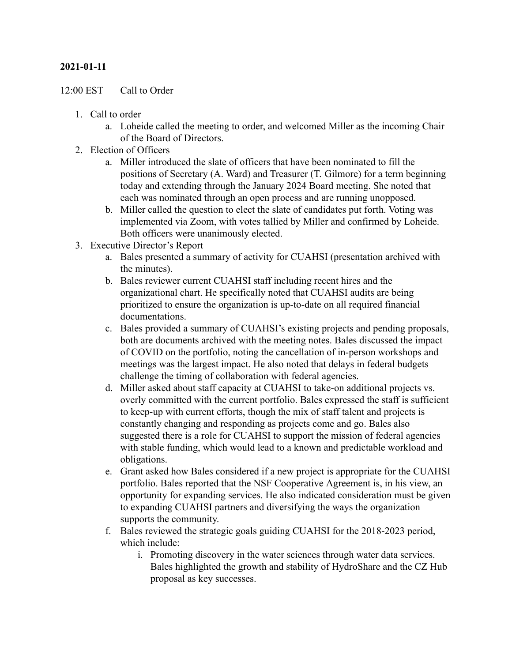## **2021-01-11**

#### 12:00 EST Call to Order

- 1. Call to order
	- a. Loheide called the meeting to order, and welcomed Miller as the incoming Chair of the Board of Directors.
- 2. Election of Officers
	- a. Miller introduced the slate of officers that have been nominated to fill the positions of Secretary (A. Ward) and Treasurer (T. Gilmore) for a term beginning today and extending through the January 2024 Board meeting. She noted that each was nominated through an open process and are running unopposed.
	- b. Miller called the question to elect the slate of candidates put forth. Voting was implemented via Zoom, with votes tallied by Miller and confirmed by Loheide. Both officers were unanimously elected.
- 3. Executive Director's Report
	- a. Bales presented a summary of activity for CUAHSI (presentation archived with the minutes).
	- b. Bales reviewer current CUAHSI staff including recent hires and the organizational chart. He specifically noted that CUAHSI audits are being prioritized to ensure the organization is up-to-date on all required financial documentations.
	- c. Bales provided a summary of CUAHSI's existing projects and pending proposals, both are documents archived with the meeting notes. Bales discussed the impact of COVID on the portfolio, noting the cancellation of in-person workshops and meetings was the largest impact. He also noted that delays in federal budgets challenge the timing of collaboration with federal agencies.
	- d. Miller asked about staff capacity at CUAHSI to take-on additional projects vs. overly committed with the current portfolio. Bales expressed the staff is sufficient to keep-up with current efforts, though the mix of staff talent and projects is constantly changing and responding as projects come and go. Bales also suggested there is a role for CUAHSI to support the mission of federal agencies with stable funding, which would lead to a known and predictable workload and obligations.
	- e. Grant asked how Bales considered if a new project is appropriate for the CUAHSI portfolio. Bales reported that the NSF Cooperative Agreement is, in his view, an opportunity for expanding services. He also indicated consideration must be given to expanding CUAHSI partners and diversifying the ways the organization supports the community.
	- f. Bales reviewed the strategic goals guiding CUAHSI for the 2018-2023 period, which include:
		- i. Promoting discovery in the water sciences through water data services. Bales highlighted the growth and stability of HydroShare and the CZ Hub proposal as key successes.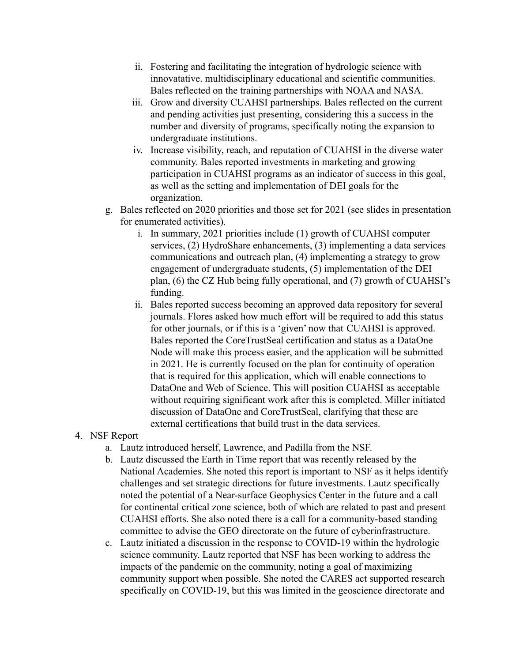- ii. Fostering and facilitating the integration of hydrologic science with innovatative. multidisciplinary educational and scientific communities. Bales reflected on the training partnerships with NOAA and NASA.
- iii. Grow and diversity CUAHSI partnerships. Bales reflected on the current and pending activities just presenting, considering this a success in the number and diversity of programs, specifically noting the expansion to undergraduate institutions.
- iv. Increase visibility, reach, and reputation of CUAHSI in the diverse water community. Bales reported investments in marketing and growing participation in CUAHSI programs as an indicator of success in this goal, as well as the setting and implementation of DEI goals for the organization.
- g. Bales reflected on 2020 priorities and those set for 2021 (see slides in presentation for enumerated activities).
	- i. In summary, 2021 priorities include (1) growth of CUAHSI computer services, (2) HydroShare enhancements, (3) implementing a data services communications and outreach plan, (4) implementing a strategy to grow engagement of undergraduate students, (5) implementation of the DEI plan, (6) the CZ Hub being fully operational, and (7) growth of CUAHSI's funding.
	- ii. Bales reported success becoming an approved data repository for several journals. Flores asked how much effort will be required to add this status for other journals, or if this is a 'given' now that CUAHSI is approved. Bales reported the CoreTrustSeal certification and status as a DataOne Node will make this process easier, and the application will be submitted in 2021. He is currently focused on the plan for continuity of operation that is required for this application, which will enable connections to DataOne and Web of Science. This will position CUAHSI as acceptable without requiring significant work after this is completed. Miller initiated discussion of DataOne and CoreTrustSeal, clarifying that these are external certifications that build trust in the data services.
- 4. NSF Report
	- a. Lautz introduced herself, Lawrence, and Padilla from the NSF.
	- b. Lautz discussed the Earth in Time report that was recently released by the National Academies. She noted this report is important to NSF as it helps identify challenges and set strategic directions for future investments. Lautz specifically noted the potential of a Near-surface Geophysics Center in the future and a call for continental critical zone science, both of which are related to past and present CUAHSI efforts. She also noted there is a call for a community-based standing committee to advise the GEO directorate on the future of cyberinfrastructure.
	- c. Lautz initiated a discussion in the response to COVID-19 within the hydrologic science community. Lautz reported that NSF has been working to address the impacts of the pandemic on the community, noting a goal of maximizing community support when possible. She noted the CARES act supported research specifically on COVID-19, but this was limited in the geoscience directorate and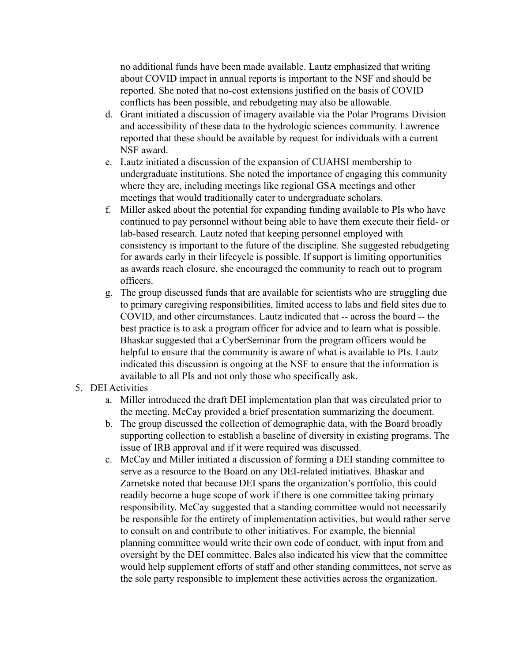no additional funds have been made available. Lautz emphasized that writing about COVID impact in annual reports is important to the NSF and should be reported. She noted that no-cost extensions justified on the basis of COVID conflicts has been possible, and rebudgeting may also be allowable.

- d. Grant initiated a discussion of imagery available via the Polar Programs Division and accessibility of these data to the hydrologic sciences community. Lawrence reported that these should be available by request for individuals with a current NSF award.
- e. Lautz initiated a discussion of the expansion of CUAHSI membership to undergraduate institutions. She noted the importance of engaging this community where they are, including meetings like regional GSA meetings and other meetings that would traditionally cater to undergraduate scholars.
- f. Miller asked about the potential for expanding funding available to PIs who have continued to pay personnel without being able to have them execute their field- or lab-based research. Lautz noted that keeping personnel employed with consistency is important to the future of the discipline. She suggested rebudgeting for awards early in their lifecycle is possible. If support is limiting opportunities as awards reach closure, she encouraged the community to reach out to program officers.
- g. The group discussed funds that are available for scientists who are struggling due to primary caregiving responsibilities, limited access to labs and field sites due to COVID, and other circumstances. Lautz indicated that -- across the board -- the best practice is to ask a program officer for advice and to learn what is possible. Bhaskar suggested that a CyberSeminar from the program officers would be helpful to ensure that the community is aware of what is available to PIs. Lautz indicated this discussion is ongoing at the NSF to ensure that the information is available to all PIs and not only those who specifically ask.

# 5. DEI Activities

- a. Miller introduced the draft DEI implementation plan that was circulated prior to the meeting. McCay provided a brief presentation summarizing the document.
- b. The group discussed the collection of demographic data, with the Board broadly supporting collection to establish a baseline of diversity in existing programs. The issue of IRB approval and if it were required was discussed.
- c. McCay and Miller initiated a discussion of forming a DEI standing committee to serve as a resource to the Board on any DEI-related initiatives. Bhaskar and Zarnetske noted that because DEI spans the organization's portfolio, this could readily become a huge scope of work if there is one committee taking primary responsibility. McCay suggested that a standing committee would not necessarily be responsible for the entirety of implementation activities, but would rather serve to consult on and contribute to other initiatives. For example, the biennial planning committee would write their own code of conduct, with input from and oversight by the DEI committee. Bales also indicated his view that the committee would help supplement efforts of staff and other standing committees, not serve as the sole party responsible to implement these activities across the organization.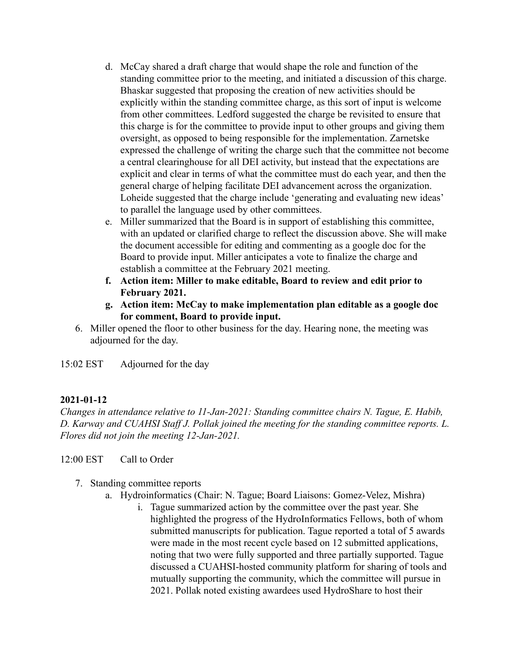- d. McCay shared a draft charge that would shape the role and function of the standing committee prior to the meeting, and initiated a discussion of this charge. Bhaskar suggested that proposing the creation of new activities should be explicitly within the standing committee charge, as this sort of input is welcome from other committees. Ledford suggested the charge be revisited to ensure that this charge is for the committee to provide input to other groups and giving them oversight, as opposed to being responsible for the implementation. Zarnetske expressed the challenge of writing the charge such that the committee not become a central clearinghouse for all DEI activity, but instead that the expectations are explicit and clear in terms of what the committee must do each year, and then the general charge of helping facilitate DEI advancement across the organization. Loheide suggested that the charge include 'generating and evaluating new ideas' to parallel the language used by other committees.
- e. Miller summarized that the Board is in support of establishing this committee, with an updated or clarified charge to reflect the discussion above. She will make the document accessible for editing and commenting as a google doc for the Board to provide input. Miller anticipates a vote to finalize the charge and establish a committee at the February 2021 meeting.
- **f. Action item: Miller to make editable, Board to review and edit prior to February 2021.**
- **g. Action item: McCay to make implementation plan editable as a google doc for comment, Board to provide input.**
- 6. Miller opened the floor to other business for the day. Hearing none, the meeting was adjourned for the day.

15:02 EST Adjourned for the day

# **2021-01-12**

*Changes in attendance relative to 11-Jan-2021: Standing committee chairs N. Tague, E. Habib, D. Karway and CUAHSI Staff J. Pollak joined the meeting for the standing committee reports. L. Flores did not join the meeting 12-Jan-2021.*

12:00 EST Call to Order

- 7. Standing committee reports
	- a. Hydroinformatics (Chair: N. Tague; Board Liaisons: Gomez-Velez, Mishra)
		- i. Tague summarized action by the committee over the past year. She highlighted the progress of the HydroInformatics Fellows, both of whom submitted manuscripts for publication. Tague reported a total of 5 awards were made in the most recent cycle based on 12 submitted applications, noting that two were fully supported and three partially supported. Tague discussed a CUAHSI-hosted community platform for sharing of tools and mutually supporting the community, which the committee will pursue in 2021. Pollak noted existing awardees used HydroShare to host their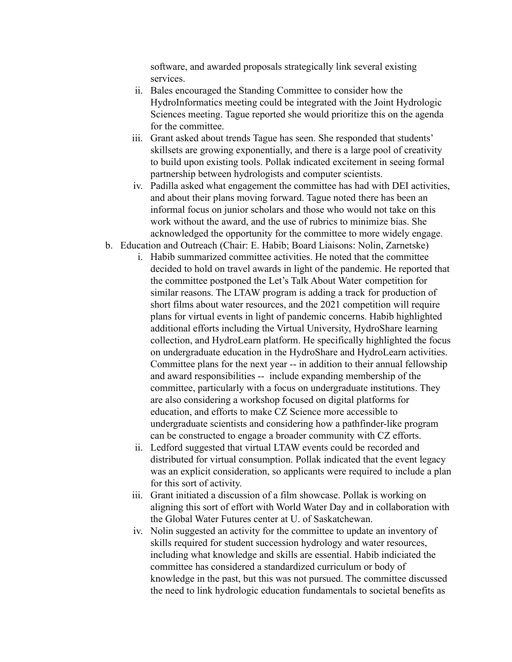software, and awarded proposals strategically link several existing services.

- ii. Bales encouraged the Standing Committee to consider how the HydroInformatics meeting could be integrated with the Joint Hydrologic Sciences meeting. Tague reported she would prioritize this on the agenda for the committee.
- iii. Grant asked about trends Tague has seen. She responded that students' skillsets are growing exponentially, and there is a large pool of creativity to build upon existing tools. Pollak indicated excitement in seeing formal partnership between hydrologists and computer scientists.
- iv. Padilla asked what engagement the committee has had with DEI activities, and about their plans moving forward. Tague noted there has been an informal focus on junior scholars and those who would not take on this work without the award, and the use of rubrics to minimize bias. She acknowledged the opportunity for the committee to more widely engage.
- b. Education and Outreach (Chair: E. Habib; Board Liaisons: Nolin, Zarnetske)
	- i. Habib summarized committee activities. He noted that the committee decided to hold on travel awards in light of the pandemic. He reported that the committee postponed the Let's Talk About Water competition for similar reasons. The LTAW program is adding a track for production of short films about water resources, and the 2021 competition will require plans for virtual events in light of pandemic concerns. Habib highlighted additional efforts including the Virtual University, HydroShare learning collection, and HydroLearn platform. He specifically highlighted the focus on undergraduate education in the HydroShare and HydroLearn activities. Committee plans for the next year -- in addition to their annual fellowship and award responsibilities -- include expanding membership of the committee, particularly with a focus on undergraduate institutions. They are also considering a workshop focused on digital platforms for education, and efforts to make CZ Science more accessible to undergraduate scientists and considering how a pathfinder-like program can be constructed to engage a broader community with CZ efforts.
	- ii. Ledford suggested that virtual LTAW events could be recorded and distributed for virtual consumption. Pollak indicated that the event legacy was an explicit consideration, so applicants were required to include a plan for this sort of activity.
	- iii. Grant initiated a discussion of a film showcase. Pollak is working on aligning this sort of effort with World Water Day and in collaboration with the Global Water Futures center at U. of Saskatchewan.
	- iv. Nolin suggested an activity for the committee to update an inventory of skills required for student succession hydrology and water resources, including what knowledge and skills are essential. Habib indiciated the committee has considered a standardized curriculum or body of knowledge in the past, but this was not pursued. The committee discussed the need to link hydrologic education fundamentals to societal benefits as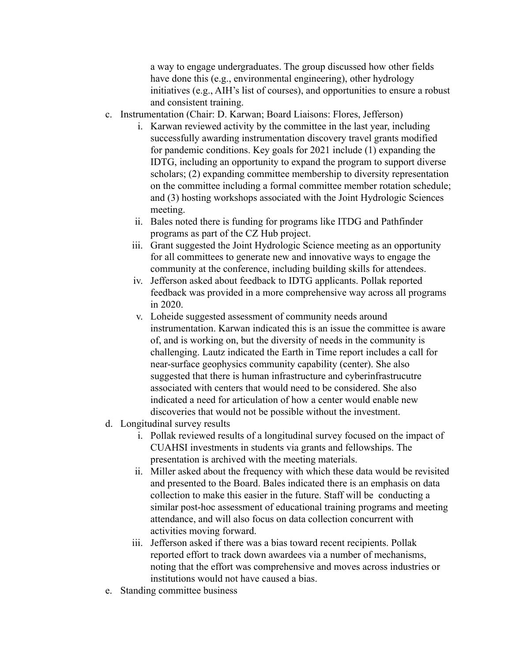a way to engage undergraduates. The group discussed how other fields have done this (e.g., environmental engineering), other hydrology initiatives (e.g., AIH's list of courses), and opportunities to ensure a robust and consistent training.

- c. Instrumentation (Chair: D. Karwan; Board Liaisons: Flores, Jefferson)
	- i. Karwan reviewed activity by the committee in the last year, including successfully awarding instrumentation discovery travel grants modified for pandemic conditions. Key goals for 2021 include (1) expanding the IDTG, including an opportunity to expand the program to support diverse scholars; (2) expanding committee membership to diversity representation on the committee including a formal committee member rotation schedule; and (3) hosting workshops associated with the Joint Hydrologic Sciences meeting.
	- ii. Bales noted there is funding for programs like ITDG and Pathfinder programs as part of the CZ Hub project.
	- iii. Grant suggested the Joint Hydrologic Science meeting as an opportunity for all committees to generate new and innovative ways to engage the community at the conference, including building skills for attendees.
	- iv. Jefferson asked about feedback to IDTG applicants. Pollak reported feedback was provided in a more comprehensive way across all programs in 2020.
	- v. Loheide suggested assessment of community needs around instrumentation. Karwan indicated this is an issue the committee is aware of, and is working on, but the diversity of needs in the community is challenging. Lautz indicated the Earth in Time report includes a call for near-surface geophysics community capability (center). She also suggested that there is human infrastructure and cyberinfrastrucutre associated with centers that would need to be considered. She also indicated a need for articulation of how a center would enable new discoveries that would not be possible without the investment.
- d. Longitudinal survey results
	- i. Pollak reviewed results of a longitudinal survey focused on the impact of CUAHSI investments in students via grants and fellowships. The presentation is archived with the meeting materials.
	- ii. Miller asked about the frequency with which these data would be revisited and presented to the Board. Bales indicated there is an emphasis on data collection to make this easier in the future. Staff will be conducting a similar post-hoc assessment of educational training programs and meeting attendance, and will also focus on data collection concurrent with activities moving forward.
	- iii. Jefferson asked if there was a bias toward recent recipients. Pollak reported effort to track down awardees via a number of mechanisms, noting that the effort was comprehensive and moves across industries or institutions would not have caused a bias.
- e. Standing committee business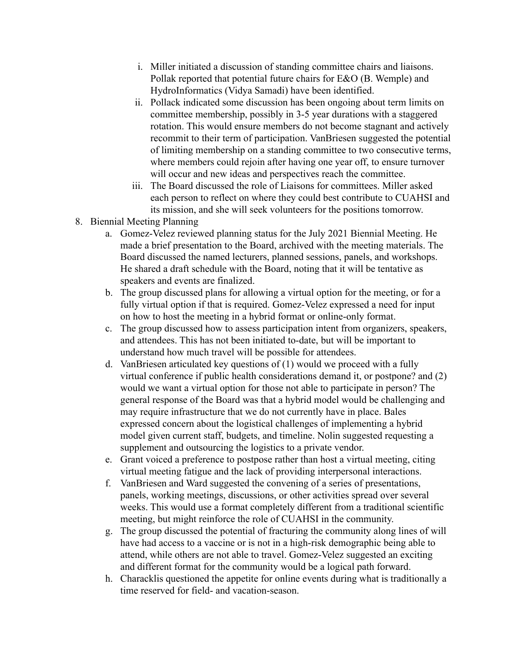- i. Miller initiated a discussion of standing committee chairs and liaisons. Pollak reported that potential future chairs for E&O (B. Wemple) and HydroInformatics (Vidya Samadi) have been identified.
- ii. Pollack indicated some discussion has been ongoing about term limits on committee membership, possibly in 3-5 year durations with a staggered rotation. This would ensure members do not become stagnant and actively recommit to their term of participation. VanBriesen suggested the potential of limiting membership on a standing committee to two consecutive terms, where members could rejoin after having one year off, to ensure turnover will occur and new ideas and perspectives reach the committee.
- iii. The Board discussed the role of Liaisons for committees. Miller asked each person to reflect on where they could best contribute to CUAHSI and its mission, and she will seek volunteers for the positions tomorrow.
- 8. Biennial Meeting Planning
	- a. Gomez-Velez reviewed planning status for the July 2021 Biennial Meeting. He made a brief presentation to the Board, archived with the meeting materials. The Board discussed the named lecturers, planned sessions, panels, and workshops. He shared a draft schedule with the Board, noting that it will be tentative as speakers and events are finalized.
	- b. The group discussed plans for allowing a virtual option for the meeting, or for a fully virtual option if that is required. Gomez-Velez expressed a need for input on how to host the meeting in a hybrid format or online-only format.
	- c. The group discussed how to assess participation intent from organizers, speakers, and attendees. This has not been initiated to-date, but will be important to understand how much travel will be possible for attendees.
	- d. VanBriesen articulated key questions of (1) would we proceed with a fully virtual conference if public health considerations demand it, or postpone? and (2) would we want a virtual option for those not able to participate in person? The general response of the Board was that a hybrid model would be challenging and may require infrastructure that we do not currently have in place. Bales expressed concern about the logistical challenges of implementing a hybrid model given current staff, budgets, and timeline. Nolin suggested requesting a supplement and outsourcing the logistics to a private vendor.
	- e. Grant voiced a preference to postpose rather than host a virtual meeting, citing virtual meeting fatigue and the lack of providing interpersonal interactions.
	- f. VanBriesen and Ward suggested the convening of a series of presentations, panels, working meetings, discussions, or other activities spread over several weeks. This would use a format completely different from a traditional scientific meeting, but might reinforce the role of CUAHSI in the community.
	- g. The group discussed the potential of fracturing the community along lines of will have had access to a vaccine or is not in a high-risk demographic being able to attend, while others are not able to travel. Gomez-Velez suggested an exciting and different format for the community would be a logical path forward.
	- h. Characklis questioned the appetite for online events during what is traditionally a time reserved for field- and vacation-season.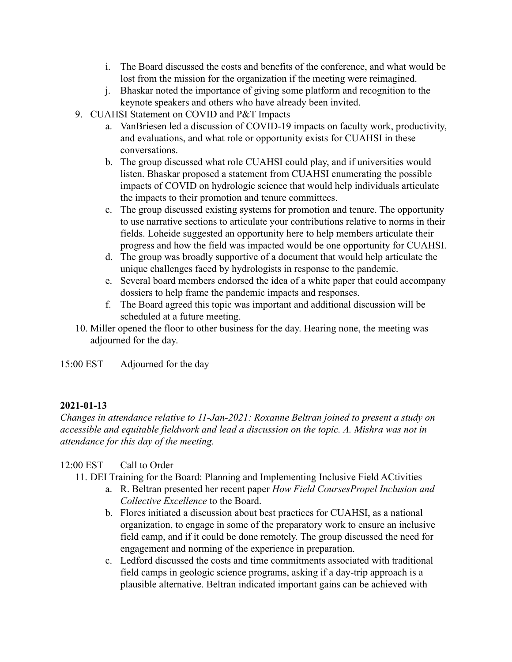- i. The Board discussed the costs and benefits of the conference, and what would be lost from the mission for the organization if the meeting were reimagined.
- j. Bhaskar noted the importance of giving some platform and recognition to the keynote speakers and others who have already been invited.
- 9. CUAHSI Statement on COVID and P&T Impacts
	- a. VanBriesen led a discussion of COVID-19 impacts on faculty work, productivity, and evaluations, and what role or opportunity exists for CUAHSI in these conversations.
	- b. The group discussed what role CUAHSI could play, and if universities would listen. Bhaskar proposed a statement from CUAHSI enumerating the possible impacts of COVID on hydrologic science that would help individuals articulate the impacts to their promotion and tenure committees.
	- c. The group discussed existing systems for promotion and tenure. The opportunity to use narrative sections to articulate your contributions relative to norms in their fields. Loheide suggested an opportunity here to help members articulate their progress and how the field was impacted would be one opportunity for CUAHSI.
	- d. The group was broadly supportive of a document that would help articulate the unique challenges faced by hydrologists in response to the pandemic.
	- e. Several board members endorsed the idea of a white paper that could accompany dossiers to help frame the pandemic impacts and responses.
	- f. The Board agreed this topic was important and additional discussion will be scheduled at a future meeting.
- 10. Miller opened the floor to other business for the day. Hearing none, the meeting was adjourned for the day.

15:00 EST Adjourned for the day

# **2021-01-13**

*Changes in attendance relative to 11-Jan-2021: Roxanne Beltran joined to present a study on accessible and equitable fieldwork and lead a discussion on the topic. A. Mishra was not in attendance for this day of the meeting.*

# 12:00 EST Call to Order

- 11. DEI Training for the Board: Planning and Implementing Inclusive Field ACtivities
	- a. R. Beltran presented her recent paper *How Field CoursesPropel Inclusion and Collective Excellence* to the Board.
	- b. Flores initiated a discussion about best practices for CUAHSI, as a national organization, to engage in some of the preparatory work to ensure an inclusive field camp, and if it could be done remotely. The group discussed the need for engagement and norming of the experience in preparation.
	- c. Ledford discussed the costs and time commitments associated with traditional field camps in geologic science programs, asking if a day-trip approach is a plausible alternative. Beltran indicated important gains can be achieved with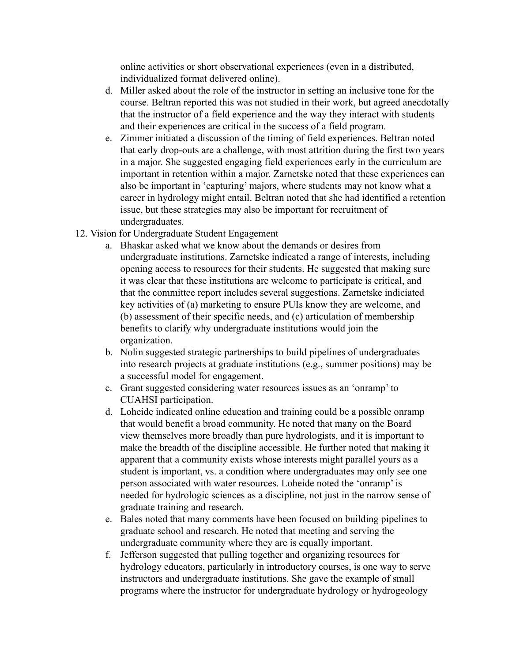online activities or short observational experiences (even in a distributed, individualized format delivered online).

- d. Miller asked about the role of the instructor in setting an inclusive tone for the course. Beltran reported this was not studied in their work, but agreed anecdotally that the instructor of a field experience and the way they interact with students and their experiences are critical in the success of a field program.
- e. Zimmer initiated a discussion of the timing of field experiences. Beltran noted that early drop-outs are a challenge, with most attrition during the first two years in a major. She suggested engaging field experiences early in the curriculum are important in retention within a major. Zarnetske noted that these experiences can also be important in 'capturing' majors, where students may not know what a career in hydrology might entail. Beltran noted that she had identified a retention issue, but these strategies may also be important for recruitment of undergraduates.
- 12. Vision for Undergraduate Student Engagement
	- a. Bhaskar asked what we know about the demands or desires from undergraduate institutions. Zarnetske indicated a range of interests, including opening access to resources for their students. He suggested that making sure it was clear that these institutions are welcome to participate is critical, and that the committee report includes several suggestions. Zarnetske indiciated key activities of (a) marketing to ensure PUIs know they are welcome, and (b) assessment of their specific needs, and (c) articulation of membership benefits to clarify why undergraduate institutions would join the organization.
	- b. Nolin suggested strategic partnerships to build pipelines of undergraduates into research projects at graduate institutions (e.g., summer positions) may be a successful model for engagement.
	- c. Grant suggested considering water resources issues as an 'onramp' to CUAHSI participation.
	- d. Loheide indicated online education and training could be a possible onramp that would benefit a broad community. He noted that many on the Board view themselves more broadly than pure hydrologists, and it is important to make the breadth of the discipline accessible. He further noted that making it apparent that a community exists whose interests might parallel yours as a student is important, vs. a condition where undergraduates may only see one person associated with water resources. Loheide noted the 'onramp' is needed for hydrologic sciences as a discipline, not just in the narrow sense of graduate training and research.
	- e. Bales noted that many comments have been focused on building pipelines to graduate school and research. He noted that meeting and serving the undergraduate community where they are is equally important.
	- f. Jefferson suggested that pulling together and organizing resources for hydrology educators, particularly in introductory courses, is one way to serve instructors and undergraduate institutions. She gave the example of small programs where the instructor for undergraduate hydrology or hydrogeology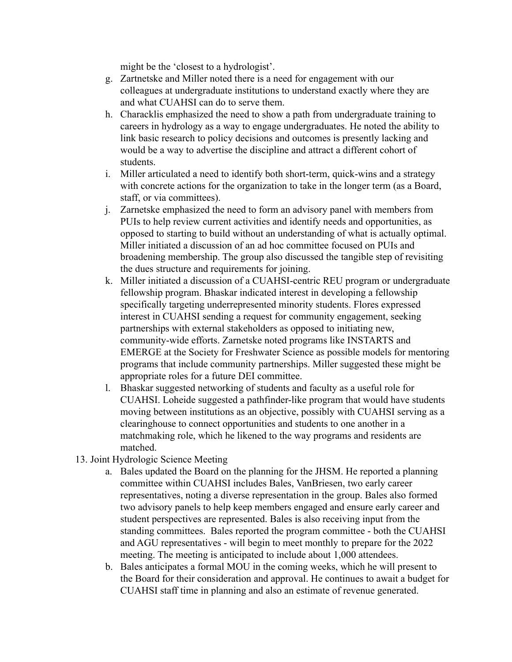might be the 'closest to a hydrologist'.

- g. Zartnetske and Miller noted there is a need for engagement with our colleagues at undergraduate institutions to understand exactly where they are and what CUAHSI can do to serve them.
- h. Characklis emphasized the need to show a path from undergraduate training to careers in hydrology as a way to engage undergraduates. He noted the ability to link basic research to policy decisions and outcomes is presently lacking and would be a way to advertise the discipline and attract a different cohort of students.
- i. Miller articulated a need to identify both short-term, quick-wins and a strategy with concrete actions for the organization to take in the longer term (as a Board, staff, or via committees).
- j. Zarnetske emphasized the need to form an advisory panel with members from PUIs to help review current activities and identify needs and opportunities, as opposed to starting to build without an understanding of what is actually optimal. Miller initiated a discussion of an ad hoc committee focused on PUIs and broadening membership. The group also discussed the tangible step of revisiting the dues structure and requirements for joining.
- k. Miller initiated a discussion of a CUAHSI-centric REU program or undergraduate fellowship program. Bhaskar indicated interest in developing a fellowship specifically targeting underrepresented minority students. Flores expressed interest in CUAHSI sending a request for community engagement, seeking partnerships with external stakeholders as opposed to initiating new, community-wide efforts. Zarnetske noted programs like INSTARTS and EMERGE at the Society for Freshwater Science as possible models for mentoring programs that include community partnerships. Miller suggested these might be appropriate roles for a future DEI committee.
- l. Bhaskar suggested networking of students and faculty as a useful role for CUAHSI. Loheide suggested a pathfinder-like program that would have students moving between institutions as an objective, possibly with CUAHSI serving as a clearinghouse to connect opportunities and students to one another in a matchmaking role, which he likened to the way programs and residents are matched.
- 13. Joint Hydrologic Science Meeting
	- a. Bales updated the Board on the planning for the JHSM. He reported a planning committee within CUAHSI includes Bales, VanBriesen, two early career representatives, noting a diverse representation in the group. Bales also formed two advisory panels to help keep members engaged and ensure early career and student perspectives are represented. Bales is also receiving input from the standing committees. Bales reported the program committee - both the CUAHSI and AGU representatives - will begin to meet monthly to prepare for the 2022 meeting. The meeting is anticipated to include about 1,000 attendees.
	- b. Bales anticipates a formal MOU in the coming weeks, which he will present to the Board for their consideration and approval. He continues to await a budget for CUAHSI staff time in planning and also an estimate of revenue generated.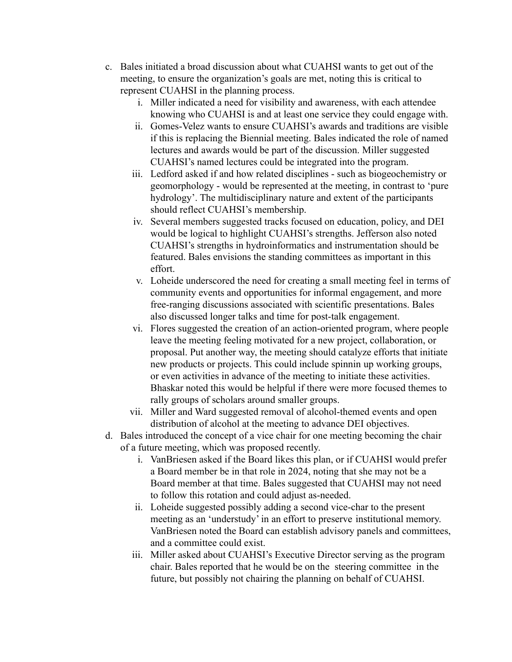- c. Bales initiated a broad discussion about what CUAHSI wants to get out of the meeting, to ensure the organization's goals are met, noting this is critical to represent CUAHSI in the planning process.
	- i. Miller indicated a need for visibility and awareness, with each attendee knowing who CUAHSI is and at least one service they could engage with.
	- ii. Gomes-Velez wants to ensure CUAHSI's awards and traditions are visible if this is replacing the Biennial meeting. Bales indicated the role of named lectures and awards would be part of the discussion. Miller suggested CUAHSI's named lectures could be integrated into the program.
	- iii. Ledford asked if and how related disciplines such as biogeochemistry or geomorphology - would be represented at the meeting, in contrast to 'pure hydrology'. The multidisciplinary nature and extent of the participants should reflect CUAHSI's membership.
	- iv. Several members suggested tracks focused on education, policy, and DEI would be logical to highlight CUAHSI's strengths. Jefferson also noted CUAHSI's strengths in hydroinformatics and instrumentation should be featured. Bales envisions the standing committees as important in this effort.
	- v. Loheide underscored the need for creating a small meeting feel in terms of community events and opportunities for informal engagement, and more free-ranging discussions associated with scientific presentations. Bales also discussed longer talks and time for post-talk engagement.
	- vi. Flores suggested the creation of an action-oriented program, where people leave the meeting feeling motivated for a new project, collaboration, or proposal. Put another way, the meeting should catalyze efforts that initiate new products or projects. This could include spinnin up working groups, or even activities in advance of the meeting to initiate these activities. Bhaskar noted this would be helpful if there were more focused themes to rally groups of scholars around smaller groups.
	- vii. Miller and Ward suggested removal of alcohol-themed events and open distribution of alcohol at the meeting to advance DEI objectives.
- d. Bales introduced the concept of a vice chair for one meeting becoming the chair of a future meeting, which was proposed recently.
	- i. VanBriesen asked if the Board likes this plan, or if CUAHSI would prefer a Board member be in that role in 2024, noting that she may not be a Board member at that time. Bales suggested that CUAHSI may not need to follow this rotation and could adjust as-needed.
	- ii. Loheide suggested possibly adding a second vice-char to the present meeting as an 'understudy' in an effort to preserve institutional memory. VanBriesen noted the Board can establish advisory panels and committees, and a committee could exist.
	- iii. Miller asked about CUAHSI's Executive Director serving as the program chair. Bales reported that he would be on the steering committee in the future, but possibly not chairing the planning on behalf of CUAHSI.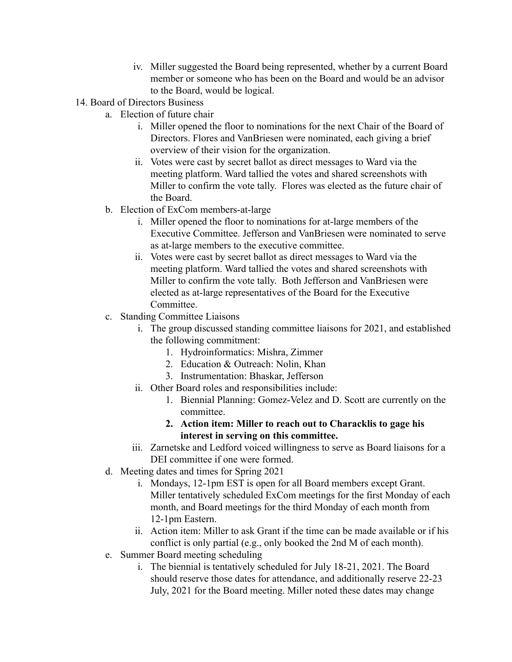- iv. Miller suggested the Board being represented, whether by a current Board member or someone who has been on the Board and would be an advisor to the Board, would be logical.
- 14. Board of Directors Business
	- a. Election of future chair
		- i. Miller opened the floor to nominations for the next Chair of the Board of Directors. Flores and VanBriesen were nominated, each giving a brief overview of their vision for the organization.
		- ii. Votes were cast by secret ballot as direct messages to Ward via the meeting platform. Ward tallied the votes and shared screenshots with Miller to confirm the vote tally. Flores was elected as the future chair of the Board.
	- b. Election of ExCom members-at-large
		- i. Miller opened the floor to nominations for at-large members of the Executive Committee. Jefferson and VanBriesen were nominated to serve as at-large members to the executive committee.
		- ii. Votes were cast by secret ballot as direct messages to Ward via the meeting platform. Ward tallied the votes and shared screenshots with Miller to confirm the vote tally. Both Jefferson and VanBriesen were elected as at-large representatives of the Board for the Executive Committee.
	- c. Standing Committee Liaisons
		- i. The group discussed standing committee liaisons for 2021, and established the following commitment:
			- 1. Hydroinformatics: Mishra, Zimmer
			- 2. Education & Outreach: Nolin, Khan
			- 3. Instrumentation: Bhaskar, Jefferson
		- ii. Other Board roles and responsibilities include:
			- 1. Biennial Planning: Gomez-Velez and D. Scott are currently on the committee.
			- **2. Action item: Miller to reach out to Characklis to gage his interest in serving on this committee.**
		- iii. Zarnetske and Ledford voiced willingness to serve as Board liaisons for a DEI committee if one were formed.
	- d. Meeting dates and times for Spring 2021
		- i. Mondays, 12-1pm EST is open for all Board members except Grant. Miller tentatively scheduled ExCom meetings for the first Monday of each month, and Board meetings for the third Monday of each month from 12-1pm Eastern.
		- ii. Action item: Miller to ask Grant if the time can be made available or if his conflict is only partial (e.g., only booked the 2nd M of each month).
	- e. Summer Board meeting scheduling
		- i. The biennial is tentatively scheduled for July 18-21, 2021. The Board should reserve those dates for attendance, and additionally reserve 22-23 July, 2021 for the Board meeting. Miller noted these dates may change